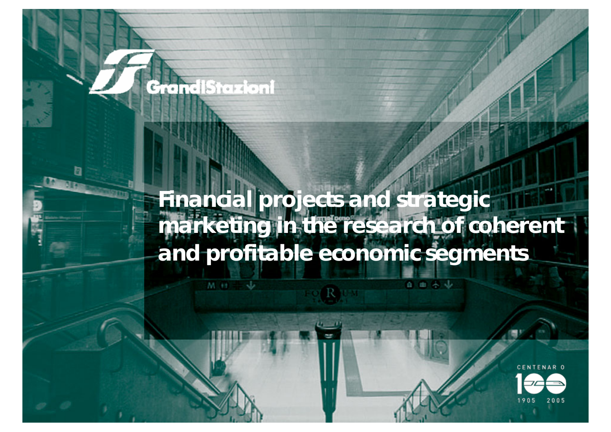### *Financial projects and strategic marketing in the research of coherent and profitable economic segments*

百亩各业

**GrandiStazioni** 

 $M+1$ 

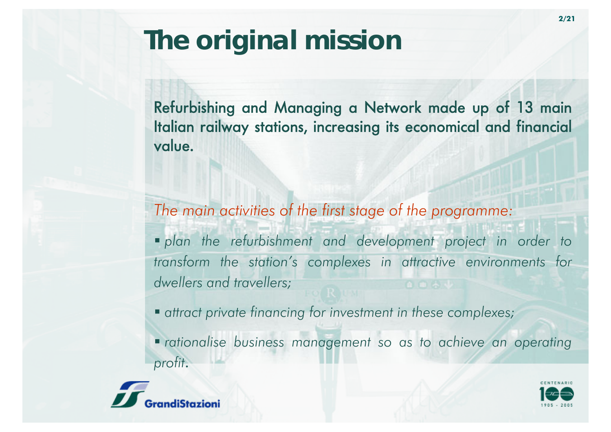Refurbishing and Managing a Network made up of 13 main Italian railway stations, increasing its economical and financial value.

*The main activities of the first stage of the programme:*

 *<sup>p</sup>lan the refurbishment and development project in order to transform the station's complexes in attractive environments for dwellers and travellers;*

*attract private financing for investment in these complexes;*

 *rationalise business management so as to achieve an operating profit*.



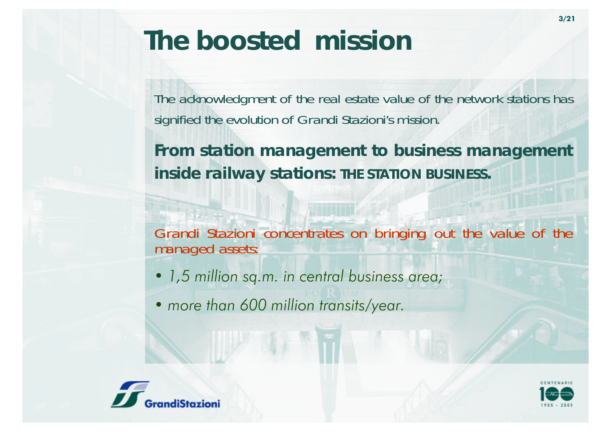## *The boosted mission*

The acknowledgment of the real estate value of the network stations has signified the evolution of Grandi Stazioni's mission.

*From station management to business management inside railway stations: THE STATION BUSINESS.*

Grandi Stazioni concentrates on bringing out the value of the managed assets:

- *• 1,5 million sq.m. in central business area;*
- *• more than 600 million transits/year.*



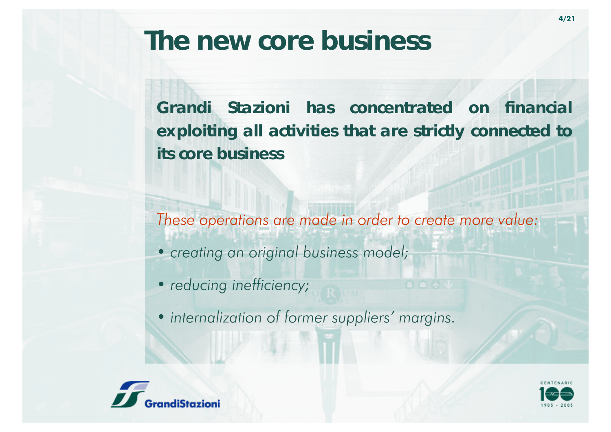## *The new core business*

*Grandi Stazioni has concentrated on financial exploiting all activities that are strictly connected to its core business*

*These operations are made in order to create more value:*

*• creating an original business model;*

• *reducing inefficiency;* 

*• internalization of former suppliers' margins.*



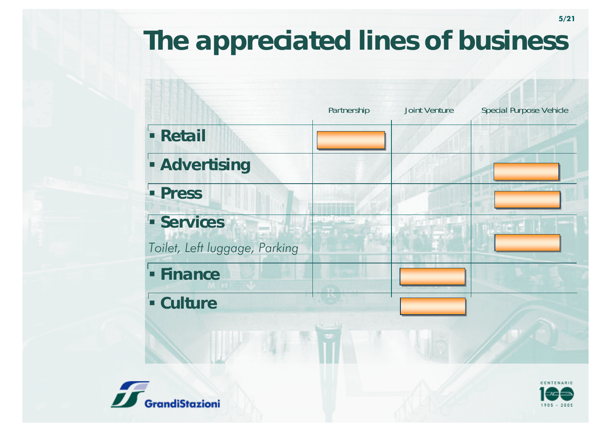# *The appreciated lines of business*





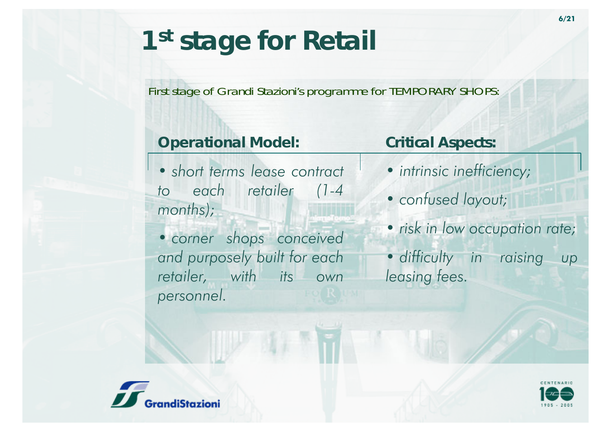## *1st stage for Retail*

#### First stage of Grandi Stazioni's programme for TEMPORARY SHOPS:

### *Operational Model:*

*• short terms lease contract to each retailer (1-4 months);*

### *Critical Aspects:*

- *• intrinsic inefficiency;*
- *• confused layout;*
- *• corner shops conceived and purposely built for each retailer, with its own personnel.*
- *• risk in low occupation rate;*
- *• difficulty in raising up leasing fees.*



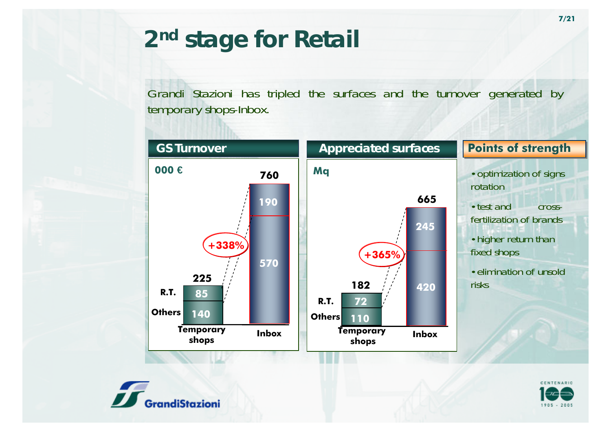## *2nd stage for Retail*

Grandi Stazioni has tripled the surfaces and the turnover generated by temporary shops-Inbox.





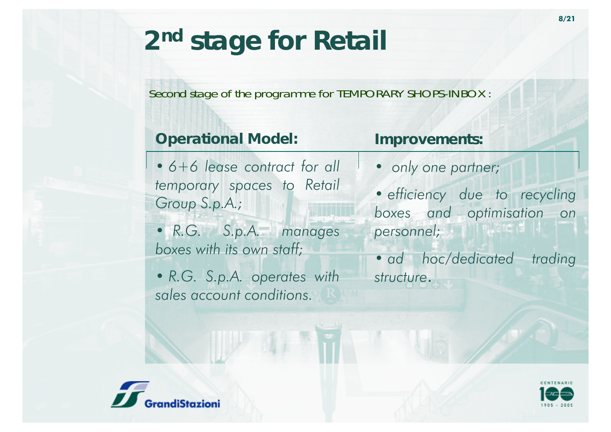#### Second stage of the programme for TEMPORARY SHOPS-INBOX :

### *Operational Model:*

*• 6+6 lease contract for all temporary spaces to Retail Group S.p.A.;*

*• R.G. S.p.A. manages boxes with its own staff;*

*• R.G. S.p.A. operates with sales account conditions.*

### *Improvements:*

*• only one partner;*

*• efficiency due to recycling boxes and optimisation on personnel;*

*• ad hoc/dedicated trading structure*.



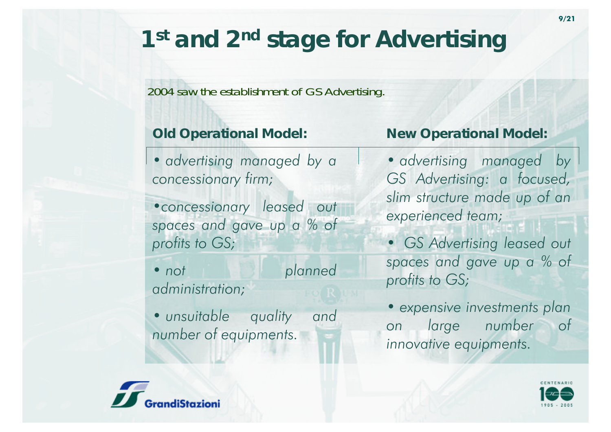## *1st and 2nd stage for Advertising*

#### 2004 saw the establishment of GS Advertising.

### *Old Operational Model:*

*• advertising managed by a concessionary firm;*

*•concessionary leased out spaces and gave up a % of profits to GS;*

• not  $plane$ *d administration;*

*• unsuitable quality and number of equipments.*

### *New Operational Model:*

*• advertising managed by GS Advertising: a focused, slim structure made up of an experienced team;*

*• GS Advertising leased out spaces and gave up a % of profits to GS;*

*• expensive investments plan on large number of innovative equipments.*



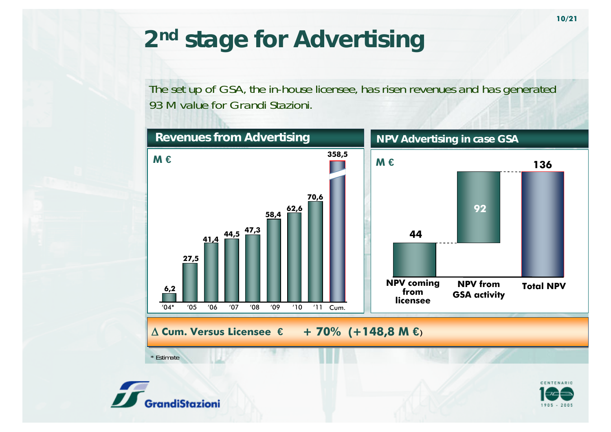## *2nd stage for Advertising*

#### The set up of GSA, the in-house licensee, has risen revenues and has generated 93 M value for Grandi Stazioni.



\* Estimate



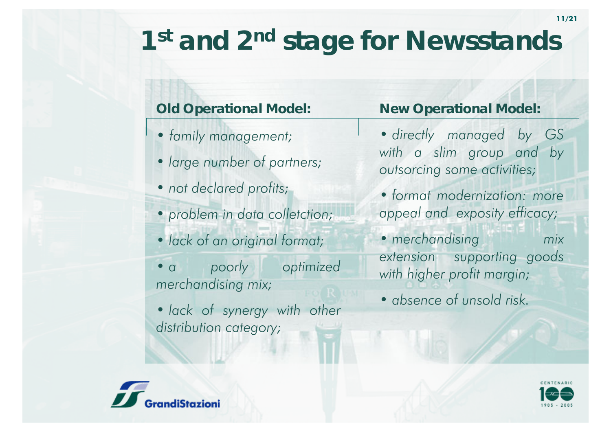# *1st and 2nd stage for Newsstands*

### *Old Operational Model:*

- *• family management;*
- *• large number of partners;*
- *• not declared profits;*
- *• problem in data colletction;*
- *• lack of an original format;*
- *a poorly* optimized *merchandising mix;*
- *• lack of synergy with other distribution category;*

### *New Operational Model:*

- *• directly managed by GS with a slim group and by outsorcing some activities;*
- *• format modernization: more appeal and exposity efficacy;*
- *• merchandising mix extension supporting goods with higher profit margin;*
- *• absence of unsold risk.*



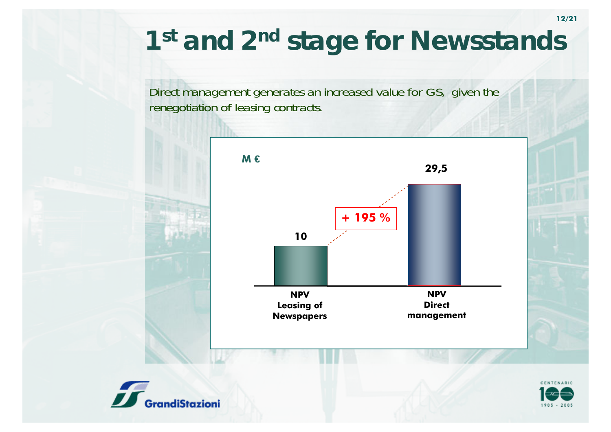## *1st and 2nd stage for Newsstands*

Direct management generates an increased value for GS, given the renegotiation of leasing contracts.





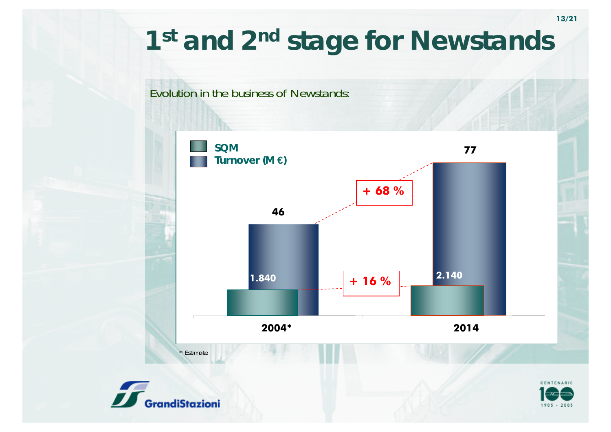## *1st and 2nd stage for Newstands*

#### Evolution in the business of Newstands:





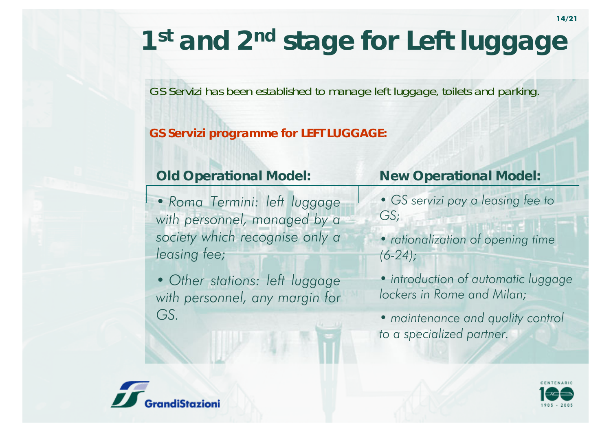# *1st and 2nd stage for Left luggage*

#### GS Servizi has been established to manage left luggage, toilets and parking.

#### *GS Servizi programme for LEFT LUGGAGE:*

#### *Old Operational Model:*

*• Roma Termini: left luggage with personnel, managed by a society which recognise only a leasing fee;*

*• Other stations: left luggage with personnel, any margin for GS.*

#### *New Operational Model:*

- *• GS servizi pay a leasing fee to GS;*
- *• rationalization of opening time (6-24);*
- *• introduction of automatic luggage lockers in Rome and Milan;*
- *• maintenance and quality control to a specialized partner.*



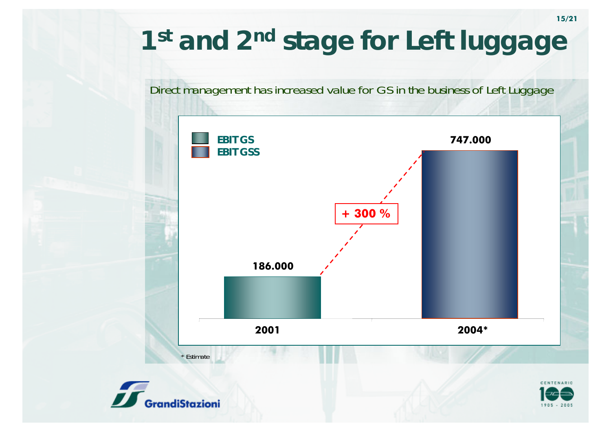# *1st and 2nd stage for Left luggage*

#### Direct management has increased value for GS in the business of Left Luggage

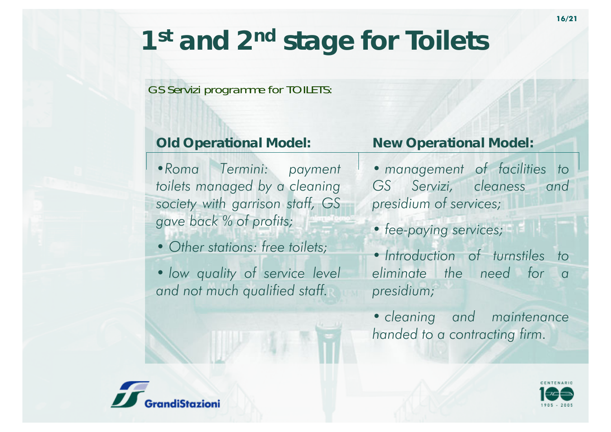## *1st and 2nd stage for Toilets*

#### GS Servizi programme for TOILETS:

### *Old Operational Model:*

*•Roma Termini: payment toilets managed by a cleaning society with garrison staff, GS gave back % of profits;*

- *• Other stations: free toilets;*
- *• low quality of service level and not much qualified staff.*

### *New Operational Model:*

- *• management of facilities to GS Servizi, cleaness and presidium of services;*
- *• fee-paying services;*
- *• Introduction of turnstiles to eliminate the need for a presidium;*
- *• cleaning and maintenance handed to a contracting firm.*



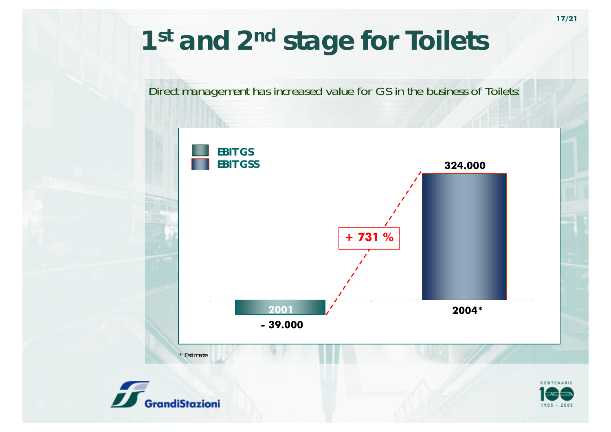## *1st and 2nd stage for Toilets*

#### Direct management has increased value for GS in the business of Toilets:

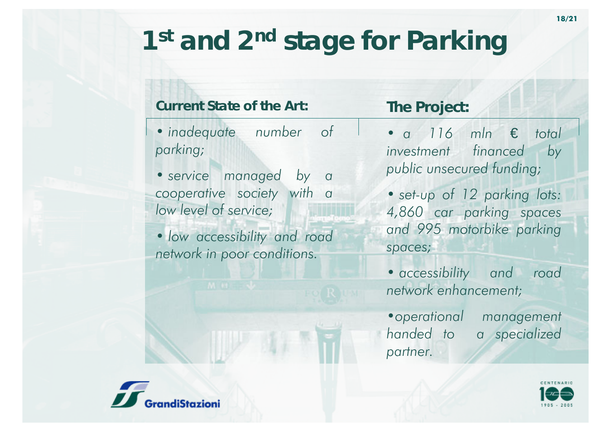# *1st and 2nd stage for Parking*

#### *Current State of the Art:*

- *• inadequate number of parking;*
- *• service managed by a cooperative society with a low level of service;*
- *• low accessibility and road network in poor conditions.*

### *The Project:*

- *• a 116 mln* € *total investment financed by public unsecured funding;*
- *• set-up of 12 parking lots: 4,860 car parking spaces and 995 motorbike parking spaces;*
- *• accessibility and road network enhancement;*
- *•operational management handed to a specialized partner.*



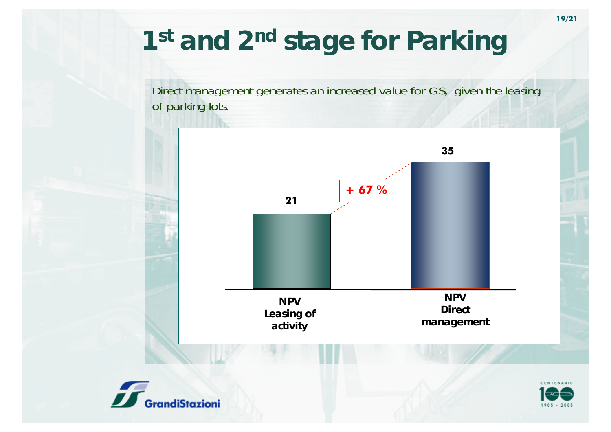## *1st and 2nd stage for Parking*

Direct management generates an increased value for GS, given the leasing of parking lots.





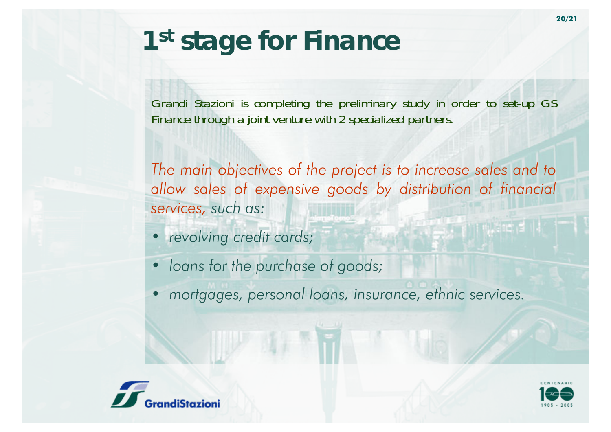Grandi Stazioni is completing the preliminary study in order to set-up GS Finance through a joint venture with 2 specialized partners.

*The main objectives of the project is to increase sales and to allow sales of expensive goods by distribution of financial services, such as:*

- *• revolving credit cards;*
- *• loans for the purchase of goods;*
- *• mortgages, personal loans, insurance, ethnic services.*



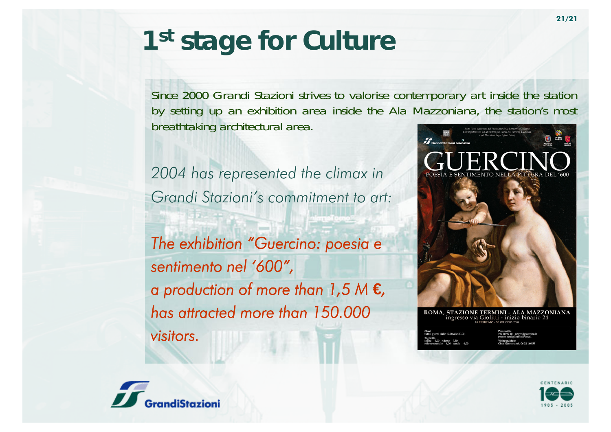## *1st stage for Culture*

Since 2000 Grandi Stazioni strives to valorise contemporary art inside the station by setting up an exhibition area inside the Ala Mazzoniana, the station's most breathtaking architectural area.

*2004 has represented the climax in Grandi Stazioni's commitment to art: The exhibition "Guercino: poesia <sup>e</sup> sentimento nel '600", a production of more than 1,5 M* **€***, has attracted more than 150.000 visitors.*



STAZIONE TERMINI - ALA MAZZONIANA ingresso via Giolitti - inizio binario 24



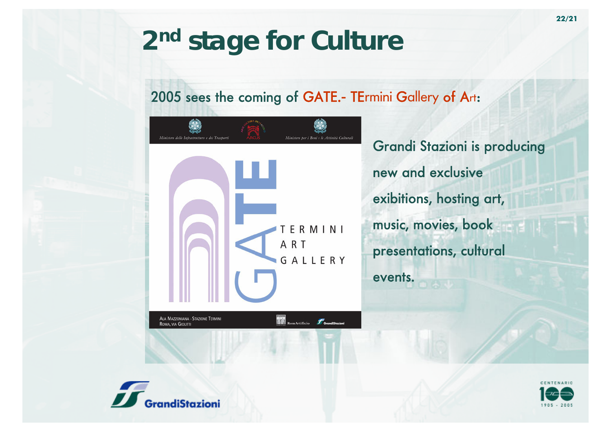### 2005 sees the coming of GATE.- TErmini Gallery of Art:



Grandi Stazioni is producing new and exclusive exibitions, hosting art, music, movies, book presentations, cultural events.